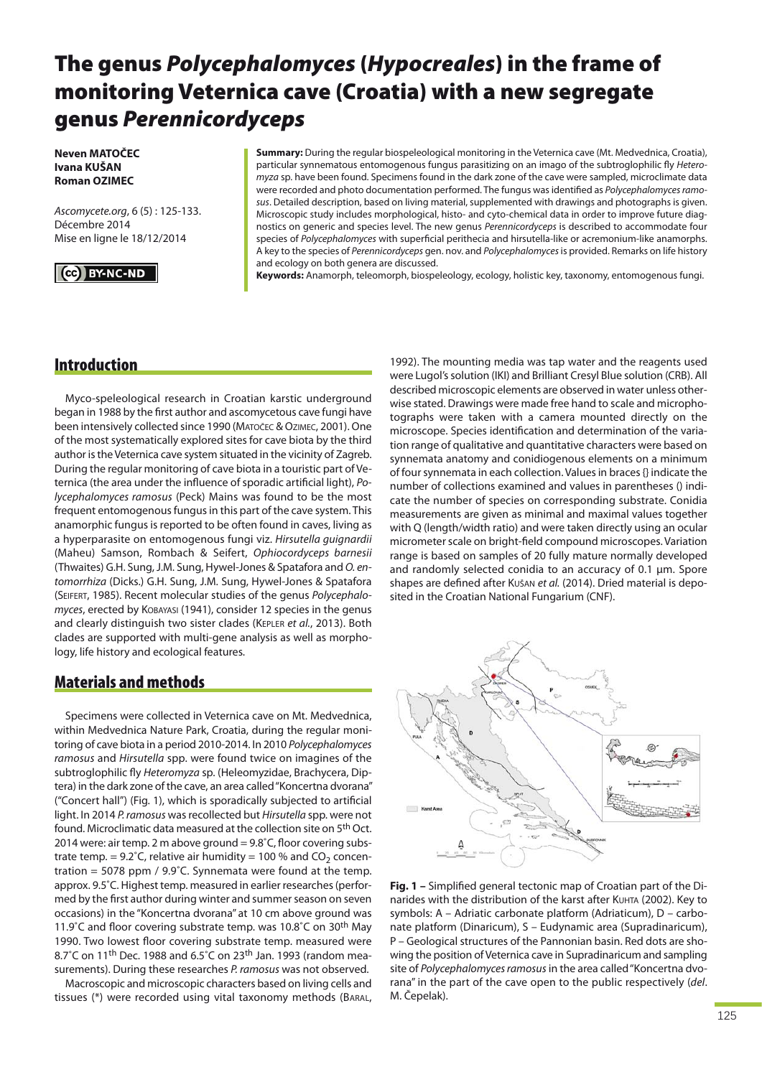# **The genus** *Polycephalomyces* **(***Hypocreales***) in the frame of monitoring Veternica cave (Croatia) with a new segregate genus** *Perennicordyceps*

**Neven MATOČEC Ivana KUŠAN Roman OZIMEC**

Ascomycete.org, 6 (5) : 125-133. Décembre 2014 Mise en ligne le 18/12/2014

# **BY-NC-ND**

**Summary:** During the regular biospeleological monitoring in the Veternica cave (Mt. Medvednica, Croatia), particular synnematous entomogenous fungus parasitizing on an imago of the subtroglophilic fly Heteromyza sp. have been found. Specimens found in the dark zone of the cave were sampled, microclimate data were recorded and photo documentation performed. The fungus was identified as Polycephalomyces ramosus. Detailed description, based on living material, supplemented with drawings and photographs is given. Microscopic study includes morphological, histo- and cyto-chemical data in order to improve future diagnostics on generic and species level. The new genus Perennicordyceps is described to accommodate four species of Polycephalomyces with superficial perithecia and hirsutella-like or acremonium-like anamorphs. A key to the species of Perennicordyceps gen. nov. and Polycephalomyces is provided. Remarks on life history and ecology on both genera are discussed.

**Keywords:** Anamorph, teleomorph, biospeleology, ecology, holistic key, taxonomy, entomogenous fungi.

# **Introduction**

Myco-speleological research in Croatian karstic underground began in 1988 by the first author and ascomycetous cave fungi have been intensively collected since 1990 (MATOČEC & OZIMEC, 2001). One of the most systematically explored sites for cave biota by the third author is the Veternica cave system situated in the vicinity of Zagreb. During the regular monitoring of cave biota in a touristic part of Veternica (the area under the influence of sporadic artificial light), Polycephalomyces ramosus (Peck) Mains was found to be the most frequent entomogenous fungus in this part of the cave system. This anamorphic fungus is reported to be often found in caves, living as a hyperparasite on entomogenous fungi viz. Hirsutella guignardii (Maheu) Samson, Rombach & Seifert, Ophiocordyceps barnesii (Thwaites) G.H. Sung, J.M. Sung, Hywel-Jones & Spatafora and O. entomorrhiza (Dicks.) G.H. Sung, J.M. Sung, Hywel-Jones & Spatafora (SEIFERT, 1985). Recent molecular studies of the genus Polycephalomyces, erected by KOBAYASI (1941), consider 12 species in the genus and clearly distinguish two sister clades (KEPLER et al., 2013). Both clades are supported with multi-gene analysis as well as morphology, life history and ecological features.

# **Materials and methods**

Specimens were collected in Veternica cave on Mt. Medvednica, within Medvednica Nature Park, Croatia, during the regular monitoring of cave biota in a period 2010-2014. In 2010 Polycephalomyces ramosus and Hirsutella spp. were found twice on imagines of the subtroglophilic fly Heteromyza sp. (Heleomyzidae, Brachycera, Diptera) in the dark zone of the cave, an area called "Koncertna dvorana" ("Concert hall") (Fig. 1), which is sporadically subjected to artificial light. In 2014 P. ramosus was recollected but Hirsutella spp. were not found. Microclimatic data measured at the collection site on 5th Oct. 2014 were: air temp. 2 m above ground = 9.8˚C, floor covering substrate temp. =  $9.2^{\circ}$ C, relative air humidity = 100 % and CO<sub>2</sub> concentration = 5078 ppm / 9.9˚C. Synnemata were found at the temp. approx. 9.5˚C. Highest temp. measured in earlier researches (performed by the first author during winter and summer season on seven occasions) in the "Koncertna dvorana" at 10 cm above ground was 11.9℃ and floor covering substrate temp. was 10.8℃ on 30<sup>th</sup> May 1990. Two lowest floor covering substrate temp. measured were 8.7°C on 11<sup>th</sup> Dec. 1988 and 6.5°C on 23<sup>th</sup> Jan. 1993 (random measurements). During these researches P. ramosus was not observed.

Macroscopic and microscopic characters based on living cells and tissues (\*) were recorded using vital taxonomy methods (BARAL,

1992). The mounting media was tap water and the reagents used were Lugol's solution (IKI) and Brilliant Cresyl Blue solution (CRB). All described microscopic elements are observed in water unless otherwise stated. Drawings were made free hand to scale and microphotographs were taken with a camera mounted directly on the microscope. Species identification and determination of the variation range of qualitative and quantitative characters were based on synnemata anatomy and conidiogenous elements on a minimum of four synnemata in each collection. Values in braces {} indicate the number of collections examined and values in parentheses () indicate the number of species on corresponding substrate. Conidia measurements are given as minimal and maximal values together with Q (length/width ratio) and were taken directly using an ocular micrometer scale on bright-field compound microscopes. Variation range is based on samples of 20 fully mature normally developed and randomly selected conidia to an accuracy of 0.1 μm. Spore shapes are defined after Kušan et al. (2014). Dried material is deposited in the Croatian National Fungarium (CNF).



**Fig. 1 –** Simplified general tectonic map of Croatian part of the Dinarides with the distribution of the karst after KUHTA (2002). Key to symbols: A – Adriatic carbonate platform (Adriaticum), D – carbonate platform (Dinaricum), S – Eudynamic area (Supradinaricum), P – Geological structures of the Pannonian basin. Red dots are showing the position of Veternica cave in Supradinaricum and sampling site of Polycephalomyces ramosus in the area called "Koncertna dvorana" in the part of the cave open to the public respectively (del. M. Čepelak).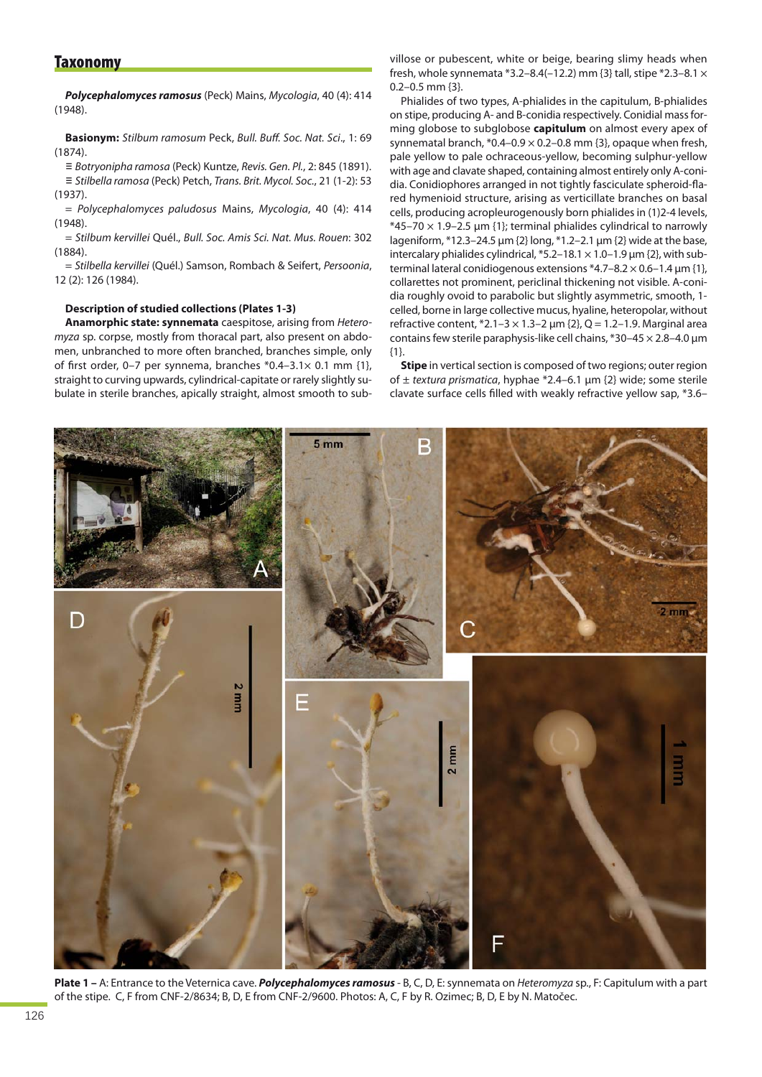## **Taxonomy**

*Polycephalomyces ramosus* (Peck) Mains, Mycologia, 40 (4): 414 (1948).

**Basionym:** Stilbum ramosum Peck, Bull. Buff. Soc. Nat. Sci., 1: 69  $(1874)$ 

*≡* Botryonipha ramosa (Peck) Kuntze, Revis. Gen. Pl., 2: 845 (1891). *≡* Stilbella ramosa (Peck) Petch, Trans. Brit. Mycol. Soc., 21 (1-2): 53 (1937).

= Polycephalomyces paludosus Mains, Mycologia, 40 (4): 414  $(1948)$ 

= Stilbum kervillei Quél., Bull. Soc. Amis Sci. Nat. Mus. Rouen: 302 (1884).

= Stilbella kervillei (Quél.) Samson, Rombach & Seifert, Persoonia, 12 (2): 126 (1984).

#### **Description of studied collections (Plates 1-3)**

**Anamorphic state: synnemata** caespitose, arising from Heteromyza sp. corpse, mostly from thoracal part, also present on abdomen, unbranched to more often branched, branches simple, only of first order, 0-7 per synnema, branches  $*0.4-3.1\times 0.1$  mm {1}, straight to curving upwards, cylindrical-capitate or rarely slightly subulate in sterile branches, apically straight, almost smooth to subvillose or pubescent, white or beige, bearing slimy heads when fresh, whole synnemata \*3.2–8.4(–12.2) mm {3} tall, stipe \*2.3–8.1  $\times$  $0.2-0.5$  mm  $\{3\}$ .

Phialides of two types, A-phialides in the capitulum, B-phialides on stipe, producing A- and B-conidia respectively. Conidial mass forming globose to subglobose **capitulum** on almost every apex of synnematal branch,  $*0.4-0.9 \times 0.2-0.8$  mm {3}, opaque when fresh, pale yellow to pale ochraceous-yellow, becoming sulphur-yellow with age and clavate shaped, containing almost entirely only A-conidia. Conidiophores arranged in not tightly fasciculate spheroid-flared hymenioid structure, arising as verticillate branches on basal cells, producing acropleurogenously born phialides in (1)2-4 levels,  $*45-70 \times 1.9-2.5 \mu m$  {1}; terminal phialides cylindrical to narrowly lageniform, \*12.3–24.5 μm {2} long, \*1.2–2.1 μm {2} wide at the base, intercalary phialides cylindrical,  $*5.2-18.1 \times 1.0-1.9$  µm {2}, with subterminal lateral conidiogenous extensions \*4.7–8.2  $\times$  0.6–1.4 μm {1}, collarettes not prominent, periclinal thickening not visible. A-conidia roughly ovoid to parabolic but slightly asymmetric, smooth, 1 celled, borne in large collective mucus, hyaline, heteropolar, without refractive content,  $*2.1-3 \times 1.3-2 \mu m$  {2}, Q = 1.2-1.9. Marginal area contains few sterile paraphysis-like cell chains, \*30–45 × 2.8–4.0 μm {1}.

**Stipe** in vertical section is composed of two regions; outer region of  $\pm$  textura prismatica, hyphae \*2.4–6.1 µm {2} wide; some sterile clavate surface cells filled with weakly refractive yellow sap, \*3.6–



**Plate 1 –** A: Entrance to the Veternica cave. *Polycephalomyces ramosus* - B, C, D, E: synnemata on Heteromyza sp., F: Capitulum with a part of the stipe. C, F from CNF-2/8634; B, D, E from CNF-2/9600. Photos: A, C, F by R. Ozimec; B, D, E by N. Matočec.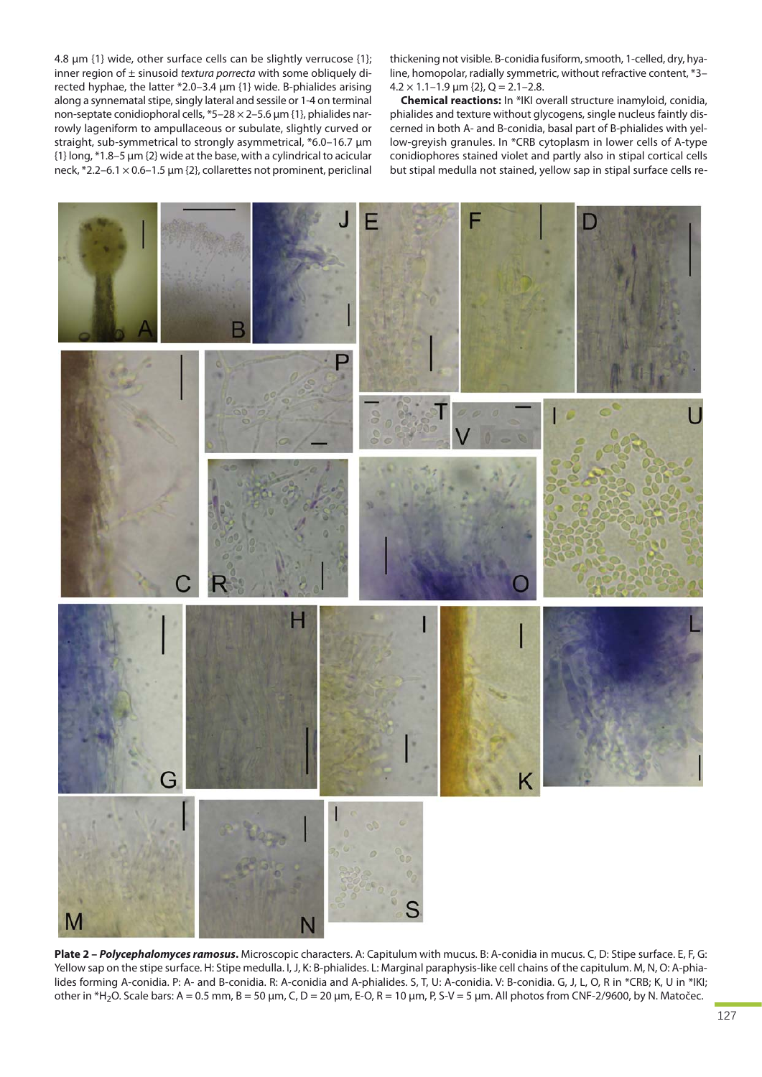4.8 μm {1} wide, other surface cells can be slightly verrucose {1}; inner region of  $\pm$  sinusoid textura porrecta with some obliquely directed hyphae, the latter \*2.0–3.4 μm {1} wide. B-phialides arising along a synnematal stipe, singly lateral and sessile or 1-4 on terminal non-septate conidiophoral cells, \*5–28 × 2–5.6 μm {1}, phialides narrowly lageniform to ampullaceous or subulate, slightly curved or straight, sub-symmetrical to strongly asymmetrical, \*6.0–16.7 μm {1} long, \*1.8–5 μm {2} wide at the base, with a cylindrical to acicular neck,  $*2.2$ –6.1 × 0.6–1.5  $\mu$ m {2}, collarettes not prominent, periclinal

thickening not visible. B-conidia fusiform, smooth, 1-celled, dry, hyaline, homopolar, radially symmetric, without refractive content, \*3–  $4.2 \times 1.1 - 1.9$  μm  $\{2\}$ , Q = 2.1-2.8.

**Chemical reactions:** In \*IKI overall structure inamyloid, conidia, phialides and texture without glycogens, single nucleus faintly discerned in both A- and B-conidia, basal part of B-phialides with yellow-greyish granules. In \*CRB cytoplasm in lower cells of A-type conidiophores stained violet and partly also in stipal cortical cells but stipal medulla not stained, yellow sap in stipal surface cells re-



**Plate 2 –** *Polycephalomyces ramosus***.** Microscopic characters. A: Capitulum with mucus. B: A-conidia in mucus. C, D: Stipe surface. E, F, G: Yellow sap on the stipe surface. H: Stipe medulla. I, J, K: B-phialides. L: Marginal paraphysis-like cell chains of the capitulum. M, N, O: A-phialides forming A-conidia. P: A- and B-conidia. R: A-conidia and A-phialides. S, T, U: A-conidia. V: B-conidia. G, J, L, O, R in \*CRB; K, U in \*IKI; other in \*H<sub>2</sub>O. Scale bars: A = 0.5 mm, B = 50 µm, C, D = 20 µm, E-O, R = 10 µm, P, S-V = 5 µm. All photos from CNF-2/9600, by N. Matočec.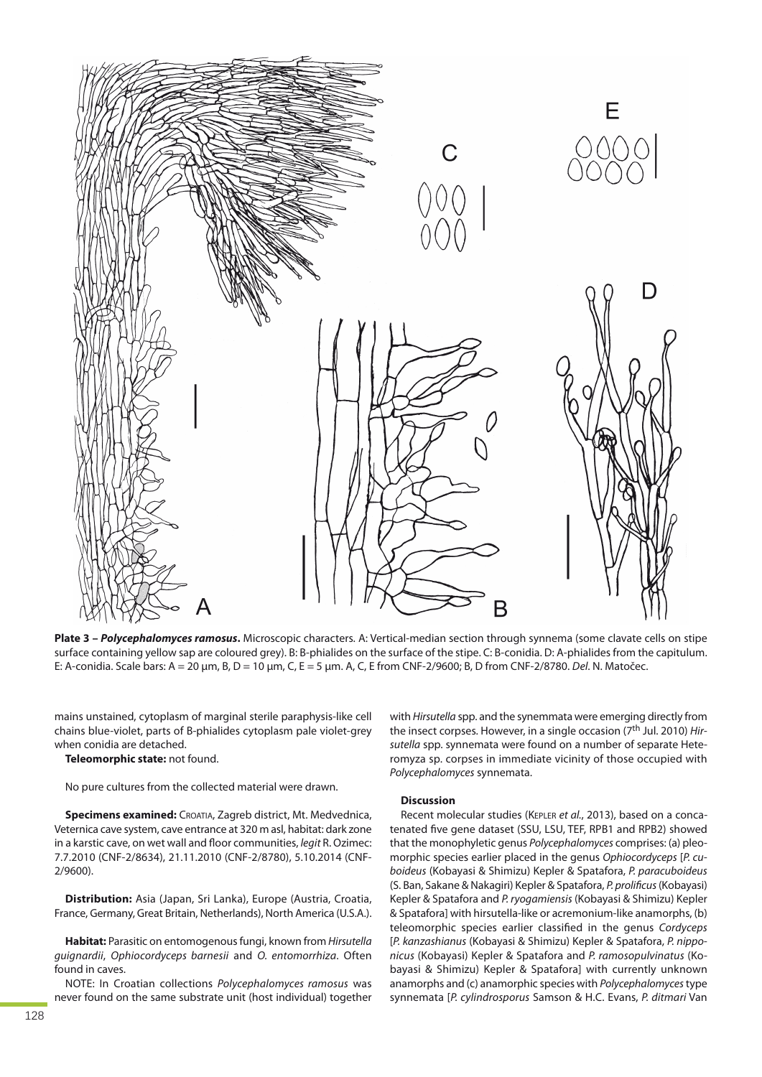

**Plate 3 –** *Polycephalomyces ramosus***.** Microscopic characters. A: Vertical-median section through synnema (some clavate cells on stipe surface containing yellow sap are coloured grey). B: B-phialides on the surface of the stipe. C: B-conidia. D: A-phialides from the capitulum. E: A-conidia. Scale bars: A = 20 μm, B, D = 10 μm, C, E = 5 μm. A, C, E from CNF-2/9600; B, D from CNF-2/8780. Del. N. Matočec.

mains unstained, cytoplasm of marginal sterile paraphysis-like cell chains blue-violet, parts of B-phialides cytoplasm pale violet-grey when conidia are detached.

**Teleomorphic state:** not found.

No pure cultures from the collected material were drawn.

**Specimens examined:** CROATIA, Zagreb district, Mt. Medvednica, Veternica cave system, cave entrance at 320 m asl, habitat: dark zone in a karstic cave, on wet wall and floor communities, legit R. Ozimec: 7.7.2010 (CNF-2/8634), 21.11.2010 (CNF-2/8780), 5.10.2014 (CNF-2/9600).

**Distribution:** Asia (Japan, Sri Lanka), Europe (Austria, Croatia, France, Germany, Great Britain, Netherlands), North America (U.S.A.).

**Habitat:** Parasitic on entomogenous fungi, known from Hirsutella guignardii, Ophiocordyceps barnesii and O. entomorrhiza. Often found in caves.

NOTE: In Croatian collections Polycephalomyces ramosus was never found on the same substrate unit (host individual) together with Hirsutella spp. and the synemmata were emerging directly from the insect corpses. However, in a single occasion (7<sup>th</sup> Jul. 2010) Hirsutella spp. synnemata were found on a number of separate Heteromyza sp. corpses in immediate vicinity of those occupied with Polycephalomyces synnemata.

#### **Discussion**

Recent molecular studies (KEPLER et al., 2013), based on a concatenated five gene dataset (SSU, LSU, TEF, RPB1 and RPB2) showed that the monophyletic genus Polycephalomyces comprises: (a) pleomorphic species earlier placed in the genus Ophiocordyceps [P. cuboideus (Kobayasi & Shimizu) Kepler & Spatafora, P. paracuboideus (S. Ban, Sakane & Nakagiri) Kepler & Spatafora, P. prolificus(Kobayasi) Kepler & Spatafora and P. ryogamiensis (Kobayasi & Shimizu) Kepler & Spatafora] with hirsutella-like or acremonium-like anamorphs, (b) teleomorphic species earlier classified in the genus Cordyceps [P. kanzashianus (Kobayasi & Shimizu) Kepler & Spatafora, P. nipponicus (Kobayasi) Kepler & Spatafora and P. ramosopulvinatus (Kobayasi & Shimizu) Kepler & Spatafora] with currently unknown anamorphs and (c) anamorphic species with Polycephalomyces type synnemata [P. cylindrosporus Samson & H.C. Evans, P. ditmari Van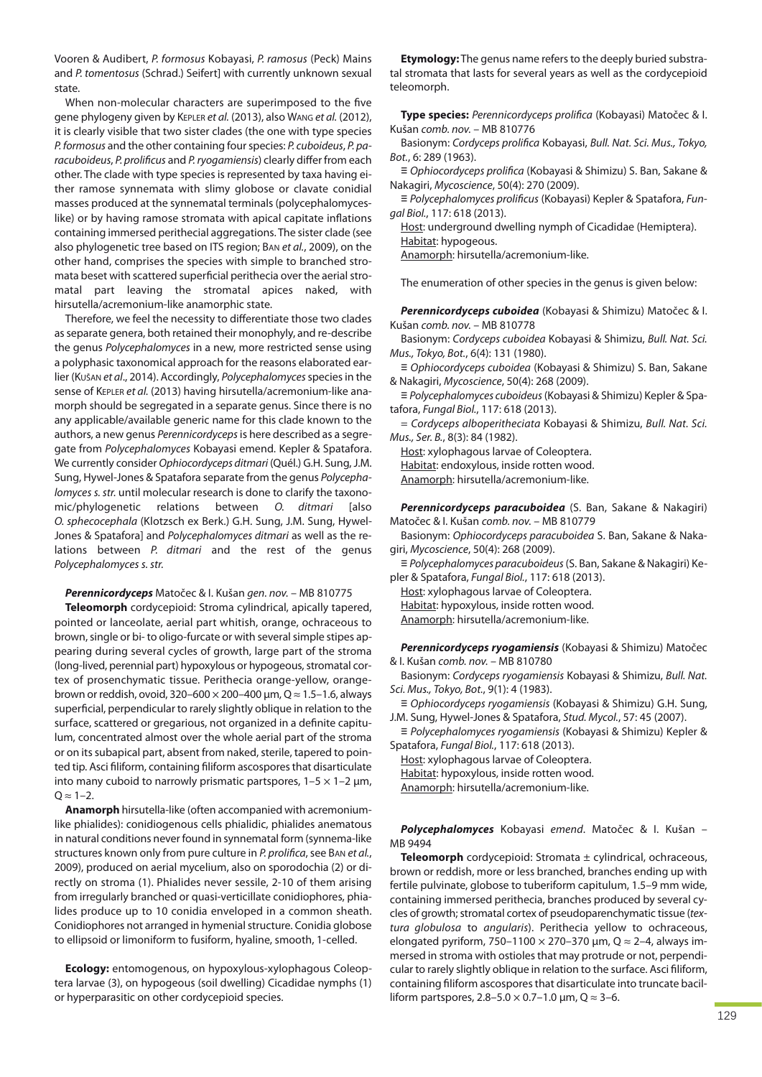Vooren & Audibert, P. formosus Kobayasi, P. ramosus (Peck) Mains and P. tomentosus (Schrad.) Seifert] with currently unknown sexual state.

When non-molecular characters are superimposed to the five gene phylogeny given by KEPLER et al. (2013), also WANG et al. (2012), it is clearly visible that two sister clades (the one with type species P. formosus and the other containing four species: P. cuboideus, P. paracuboideus, P. prolificus and P. ryogamiensis) clearly differ from each other. The clade with type species is represented by taxa having either ramose synnemata with slimy globose or clavate conidial masses produced at the synnematal terminals (polycephalomyceslike) or by having ramose stromata with apical capitate inflations containing immersed perithecial aggregations. The sister clade (see also phylogenetic tree based on ITS region; BAN et al., 2009), on the other hand, comprises the species with simple to branched stromata beset with scattered superficial perithecia over the aerial stromatal part leaving the stromatal apices naked, with hirsutella/acremonium-like anamorphic state.

Therefore, we feel the necessity to differentiate those two clades as separate genera, both retained their monophyly, and re-describe the genus Polycephalomyces in a new, more restricted sense using a polyphasic taxonomical approach for the reasons elaborated earlier (Kušan et al., 2014). Accordingly, Polycephalomyces species in the sense of KEPLER et al. (2013) having hirsutella/acremonium-like anamorph should be segregated in a separate genus. Since there is no any applicable/available generic name for this clade known to the authors, a new genus Perennicordyceps is here described as a segregate from Polycephalomyces Kobayasi emend. Kepler & Spatafora. We currently consider Ophiocordyceps ditmari (Quél.) G.H. Sung, J.M. Sung, Hywel-Jones & Spatafora separate from the genus Polycephalomyces s. str. until molecular research is done to clarify the taxonomic/phylogenetic relations between O. ditmari [also O. sphecocephala (Klotzsch ex Berk.) G.H. Sung, J.M. Sung, Hywel-Jones & Spatafora] and Polycephalomyces ditmari as well as the relations between P. ditmari and the rest of the genus Polycephalomyces s. str.

#### *Perennicordyceps* Matočec & I. Kušan gen. nov. – MB 810775

**Teleomorph** cordycepioid: Stroma cylindrical, apically tapered, pointed or lanceolate, aerial part whitish, orange, ochraceous to brown, single or bi- to oligo-furcate or with several simple stipes appearing during several cycles of growth, large part of the stroma (long-lived, perennial part) hypoxylous or hypogeous, stromatal cortex of prosenchymatic tissue. Perithecia orange-yellow, orangebrown or reddish, ovoid, 320–600  $\times$  200–400  $\mu$ m, Q  $\approx$  1.5–1.6, always superficial, perpendicular to rarely slightly oblique in relation to the surface, scattered or gregarious, not organized in a definite capitulum, concentrated almost over the whole aerial part of the stroma or on its subapical part, absent from naked, sterile, tapered to pointed tip. Asci filiform, containing filiform ascospores that disarticulate into many cuboid to narrowly prismatic partspores,  $1-5 \times 1-2$  µm,  $Q \approx 1-2$ .

**Anamorph** hirsutella-like (often accompanied with acremoniumlike phialides): conidiogenous cells phialidic, phialides anematous in natural conditions never found in synnematal form (synnema-like structures known only from pure culture in P. prolifica, see BAN et al., 2009), produced on aerial mycelium, also on sporodochia (2) or directly on stroma (1). Phialides never sessile, 2-10 of them arising from irregularly branched or quasi-verticillate conidiophores, phialides produce up to 10 conidia enveloped in a common sheath. Conidiophores not arranged in hymenial structure. Conidia globose to ellipsoid or limoniform to fusiform, hyaline, smooth, 1-celled.

**Ecology:** entomogenous, on hypoxylous-xylophagous Coleoptera larvae (3), on hypogeous (soil dwelling) Cicadidae nymphs (1) or hyperparasitic on other cordycepioid species.

**Etymology:** The genus name refers to the deeply buried substratal stromata that lasts for several years as well as the cordycepioid teleomorph.

**Type species:** Perennicordyceps prolifica (Kobayasi) Matočec & I. Kušan comb. nov. – MB 810776

Basionym: Cordyceps prolifica Kobayasi, Bull. Nat. Sci. Mus., Tokyo, Bot., 6: 289 (1963).

≡ Ophiocordyceps prolifica (Kobayasi & Shimizu) S. Ban, Sakane & Nakagiri, Mycoscience, 50(4): 270 (2009).

≡ Polycephalomyces prolificus (Kobayasi) Kepler & Spatafora, Fungal Biol., 117: 618 (2013).

Host: underground dwelling nymph of Cicadidae (Hemiptera). Habitat: hypogeous.

Anamorph: hirsutella/acremonium-like.

The enumeration of other species in the genus is given below:

*Perennicordyceps cuboidea* (Kobayasi & Shimizu) Matočec & I. Kušan comb. nov. – MB 810778

Basionym: Cordyceps cuboidea Kobayasi & Shimizu, Bull. Nat. Sci. Mus., Tokyo, Bot., 6(4): 131 (1980).

≡ Ophiocordyceps cuboidea (Kobayasi & Shimizu) S. Ban, Sakane & Nakagiri, Mycoscience, 50(4): 268 (2009).

≡ Polycephalomyces cuboideus(Kobayasi & Shimizu) Kepler & Spatafora, Fungal Biol., 117: 618 (2013).

= Cordyceps alboperitheciata Kobayasi & Shimizu, Bull. Nat. Sci. Mus., Ser. B., 8(3): 84 (1982).

Host: xylophagous larvae of Coleoptera. Habitat: endoxylous, inside rotten wood. Anamorph: hirsutella/acremonium-like.

*Perennicordyceps paracuboidea* (S. Ban, Sakane & Nakagiri) Matočec & I. Kušan comb. nov. – MB 810779

Basionym: Ophiocordyceps paracuboidea S. Ban, Sakane & Nakagiri, Mycoscience, 50(4): 268 (2009).

≡ Polycephalomyces paracuboideus(S. Ban, Sakane & Nakagiri) Kepler & Spatafora, Fungal Biol., 117: 618 (2013).

Host: xylophagous larvae of Coleoptera. Habitat: hypoxylous, inside rotten wood. Anamorph: hirsutella/acremonium-like.

*Perennicordyceps ryogamiensis* (Kobayasi & Shimizu) Matočec & I. Kušan comb. nov. – MB 810780

Basionym: Cordyceps ryogamiensis Kobayasi & Shimizu, Bull. Nat. Sci. Mus., Tokyo, Bot., 9(1): 4 (1983).

≡ Ophiocordyceps ryogamiensis (Kobayasi & Shimizu) G.H. Sung, J.M. Sung, Hywel-Jones & Spatafora, Stud. Mycol., 57: 45 (2007).

≡ Polycephalomyces ryogamiensis (Kobayasi & Shimizu) Kepler & Spatafora, Fungal Biol., 117: 618 (2013).

Host: xylophagous larvae of Coleoptera. Habitat: hypoxylous, inside rotten wood. Anamorph: hirsutella/acremonium-like.

*Polycephalomyces* Kobayasi emend. Matočec & I. Kušan – MB 9494

**Teleomorph** cordycepioid: Stromata ± cylindrical, ochraceous, brown or reddish, more or less branched, branches ending up with fertile pulvinate, globose to tuberiform capitulum, 1.5–9 mm wide, containing immersed perithecia, branches produced by several cycles of growth; stromatal cortex of pseudoparenchymatic tissue (textura globulosa to angularis). Perithecia yellow to ochraceous, elongated pyriform, 750–1100  $\times$  270–370  $\mu$ m, Q  $\approx$  2–4, always immersed in stroma with ostioles that may protrude or not, perpendicular to rarely slightly oblique in relation to the surface. Asci filiform, containing filiform ascospores that disarticulate into truncate bacilliform partspores,  $2.8 - 5.0 \times 0.7 - 1.0 \mu m$ ,  $Q \approx 3 - 6$ .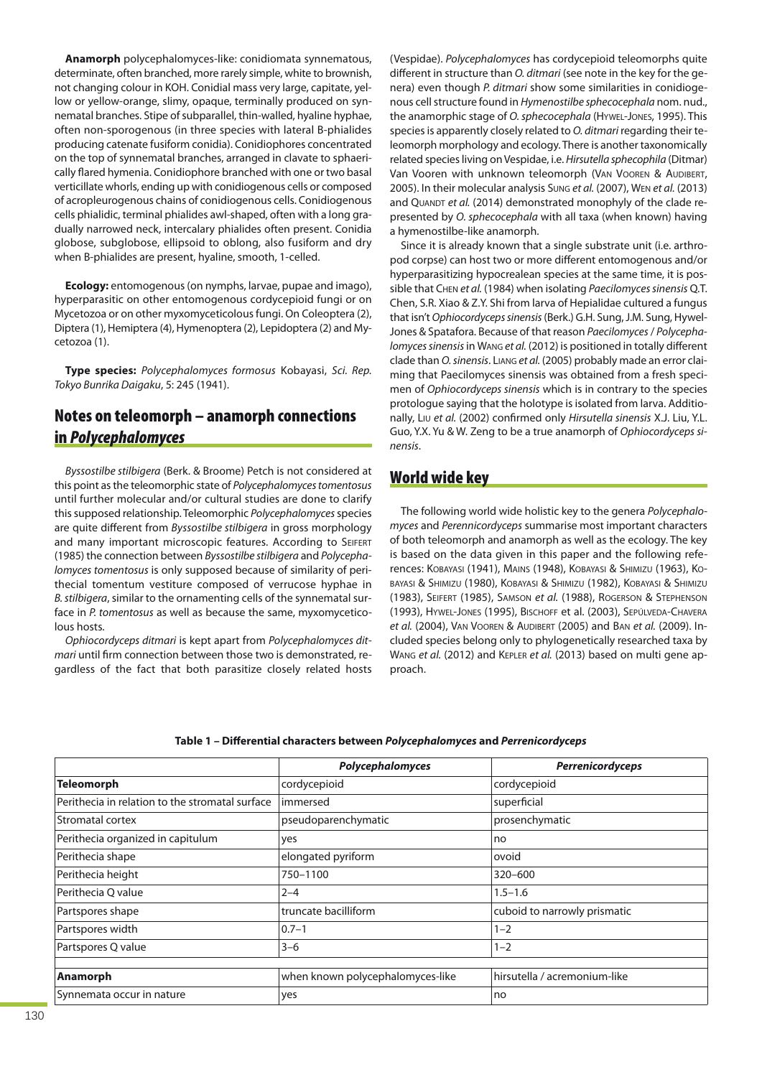**Anamorph** polycephalomyces-like: conidiomata synnematous, determinate, often branched, more rarely simple, white to brownish, not changing colour in KOH. Conidial mass very large, capitate, yellow or yellow-orange, slimy, opaque, terminally produced on synnematal branches. Stipe of subparallel, thin-walled, hyaline hyphae, often non-sporogenous (in three species with lateral B-phialides producing catenate fusiform conidia). Conidiophores concentrated on the top of synnematal branches, arranged in clavate to sphaerically flared hymenia. Conidiophore branched with one or two basal verticillate whorls, ending up with conidiogenous cells or composed of acropleurogenous chains of conidiogenous cells. Conidiogenous cells phialidic, terminal phialides awl-shaped, often with a long gradually narrowed neck, intercalary phialides often present. Conidia globose, subglobose, ellipsoid to oblong, also fusiform and dry when B-phialides are present, hyaline, smooth, 1-celled.

**Ecology:** entomogenous (on nymphs, larvae, pupae and imago), hyperparasitic on other entomogenous cordycepioid fungi or on Mycetozoa or on other myxomyceticolous fungi. On Coleoptera (2), Diptera (1), Hemiptera (4), Hymenoptera (2), Lepidoptera (2) and Mycetozoa (1).

**Type species:** Polycephalomyces formosus Kobayasi, Sci. Rep. Tokyo Bunrika Daigaku, 5: 245 (1941).

# **Notes on teleomorph – anamorph connections in** *Polycephalomyces*

Byssostilbe stilbigera (Berk. & Broome) Petch is not considered at this point as the teleomorphic state of Polycephalomyces tomentosus until further molecular and/or cultural studies are done to clarify this supposed relationship. Teleomorphic Polycephalomyces species are quite different from Byssostilbe stilbigera in gross morphology and many important microscopic features. According to SEIFERT (1985) the connection between Byssostilbe stilbigera and Polycephalomyces tomentosus is only supposed because of similarity of perithecial tomentum vestiture composed of verrucose hyphae in B. stilbigera, similar to the ornamenting cells of the synnematal surface in P. tomentosus as well as because the same, myxomyceticolous hosts.

Ophiocordyceps ditmari is kept apart from Polycephalomyces ditmari until firm connection between those two is demonstrated, regardless of the fact that both parasitize closely related hosts

(Vespidae). Polycephalomyces has cordycepioid teleomorphs quite different in structure than *O. ditmari* (see note in the key for the genera) even though P. ditmari show some similarities in conidiogenous cell structure found in Hymenostilbe sphecocephala nom. nud., the anamorphic stage of O. sphecocephala (HYWEL-JONES, 1995). This species is apparently closely related to O. ditmari regarding their teleomorph morphology and ecology. There is another taxonomically related species living on Vespidae, i.e. Hirsutella sphecophila (Ditmar) Van Vooren with unknown teleomorph (VAN VOOREN & AUDIBERT, 2005). In their molecular analysis SUNG et al. (2007), WEN et al. (2013) and QUANDT et al. (2014) demonstrated monophyly of the clade represented by O. sphecocephala with all taxa (when known) having a hymenostilbe-like anamorph.

Since it is already known that a single substrate unit (i.e. arthropod corpse) can host two or more different entomogenous and/or hyperparasitizing hypocrealean species at the same time, it is possible that CHEN et al. (1984) when isolating Paecilomyces sinensis Q.T. Chen, S.R. Xiao & Z.Y. Shi from larva of Hepialidae cultured a fungus that isn't Ophiocordyceps sinensis(Berk.) G.H. Sung, J.M. Sung, Hywel-Jones & Spatafora. Because of that reason Paecilomyces/ Polycephalomyces sinensisin WANG et al. (2012) is positioned in totally different clade than O. sinensis. LIANG et al. (2005) probably made an error claiming that Paecilomyces sinensis was obtained from a fresh specimen of Ophiocordyceps sinensis which is in contrary to the species protologue saying that the holotype is isolated from larva. Additionally, LIU et al. (2002) confirmed only Hirsutella sinensis X.J. Liu, Y.L. Guo, Y.X. Yu & W. Zeng to be a true anamorph of Ophiocordyceps sinensis.

# **World wide key**

The following world wide holistic key to the genera Polycephalomyces and Perennicordyceps summarise most important characters of both teleomorph and anamorph as well as the ecology. The key is based on the data given in this paper and the following references: KOBAYASI (1941), MAINS (1948), KOBAYASI & SHIMIZU (1963), KO-BAYASI & SHIMIZU (1980), KOBAYASI & SHIMIZU (1982), KOBAYASI & SHIMIZU (1983), SEIFERT (1985), SAMSON et al. (1988), ROGERSON & STEPHENSON (1993), HYWEL-JONES (1995), BISCHOFF et al. (2003), SEPÚLVEDA-CHAVERA et al. (2004), VAN VOOREN & AUDIBERT (2005) and BAN et al. (2009). Included species belong only to phylogenetically researched taxa by WANG et al. (2012) and KEPLER et al. (2013) based on multi gene approach.

## **Table 1 – Differential characters between** *Polycephalomyces* **and** *Perrenicordyceps*

|                                                 | Polycephalomyces                 | <b>Perrenicordyceps</b>      |
|-------------------------------------------------|----------------------------------|------------------------------|
| <b>Teleomorph</b>                               | cordycepioid                     | cordycepioid                 |
| Perithecia in relation to the stromatal surface | immersed                         | superficial                  |
| Stromatal cortex                                | pseudoparenchymatic              | prosenchymatic               |
| Perithecia organized in capitulum               | yes                              | no                           |
| Perithecia shape                                | elongated pyriform               | ovoid                        |
| Perithecia height                               | 750-1100                         | $320 - 600$                  |
| Perithecia O value                              | $2 - 4$                          | $1.5 - 1.6$                  |
| Partspores shape                                | truncate bacilliform             | cuboid to narrowly prismatic |
| Partspores width                                | $0.7 - 1$                        | $1 - 2$                      |
| Partspores Q value                              | $3 - 6$                          | $1 - 2$                      |
|                                                 |                                  |                              |
| Anamorph                                        | when known polycephalomyces-like | hirsutella / acremonium-like |
| Synnemata occur in nature                       | yes                              | no                           |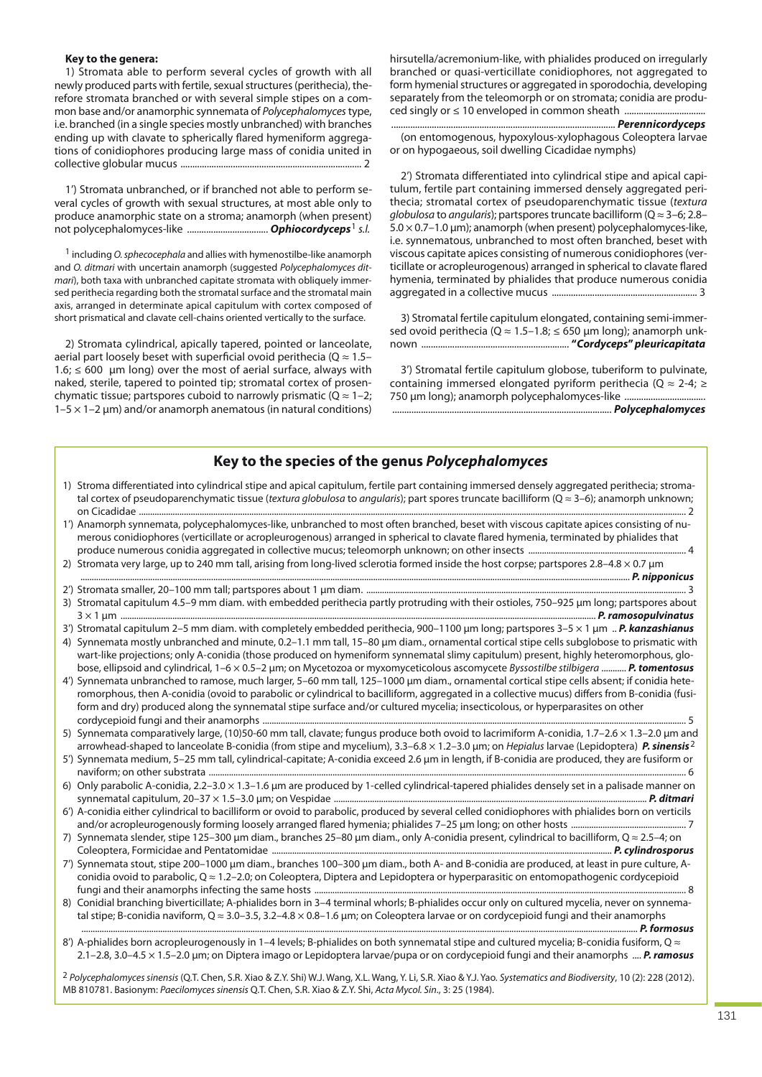#### **Key to the genera:**

1) Stromata able to perform several cycles of growth with all newly produced parts with fertile, sexual structures (perithecia), therefore stromata branched or with several simple stipes on a common base and/or anamorphic synnemata of Polycephalomyces type, i.e. branched (in a single species mostly unbranched) with branches ending up with clavate to spherically flared hymeniform aggregations of conidiophores producing large mass of conidia united in collective globular mucus ............................................................................ 2

1') Stromata unbranched, or if branched not able to perform several cycles of growth with sexual structures, at most able only to produce anamorphic state on a stroma; anamorph (when present) not polycephalomyces-like .................................. *Ophiocordyceps*1 s.l.

<sup>1</sup> including O. sphecocephala and allies with hymenostilbe-like anamorph and O. ditmari with uncertain anamorph (suggested Polycephalomyces ditmari), both taxa with unbranched capitate stromata with obliquely immersed perithecia regarding both the stromatal surface and the stromatal main axis, arranged in determinate apical capitulum with cortex composed of short prismatical and clavate cell-chains oriented vertically to the surface.

2) Stromata cylindrical, apically tapered, pointed or lanceolate, aerial part loosely beset with superficial ovoid perithecia ( $Q \approx 1.5 1.6$ ;  $\leq 600$  µm long) over the most of aerial surface, always with naked, sterile, tapered to pointed tip; stromatal cortex of prosenchymatic tissue; partspores cuboid to narrowly prismatic ( $Q \approx 1-2$ ;  $1-5 \times 1-2$  µm) and/or anamorph anematous (in natural conditions)

hirsutella/acremonium-like, with phialides produced on irregularly branched or quasi-verticillate conidiophores, not aggregated to form hymenial structures or aggregated in sporodochia, developing separately from the teleomorph or on stromata; conidia are produced singly or ≤ 10 enveloped in common sheath ..................

.............................................................................................. *Perennicordyceps* (on entomogenous, hypoxylous-xylophagous Coleoptera larvae or on hypogaeous, soil dwelling Cicadidae nymphs)

2') Stromata differentiated into cylindrical stipe and apical capitulum, fertile part containing immersed densely aggregated perithecia; stromatal cortex of pseudoparenchymatic tissue (textura globulosa to angularis); partspores truncate bacilliform ( $Q \approx 3-6$ ; 2.8–  $5.0 \times 0.7$ –1.0 µm); anamorph (when present) polycephalomyces-like, i.e. synnematous, unbranched to most often branched, beset with viscous capitate apices consisting of numerous conidiophores (verticillate or acropleurogenous) arranged in spherical to clavate flared hymenia, terminated by phialides that produce numerous conidia aggregated in a collective mucus ............................................................. 3

3) Stromatal fertile capitulum elongated, containing semi-immersed ovoid perithecia ( $Q \approx 1.5-1.8$ ;  $\leq 650$  µm long); anamorph unknown .............................................................. **"***Cordyceps***"** *pleuricapitata*

3') Stromatal fertile capitulum globose, tuberiform to pulvinate, containing immersed elongated pyriform perithecia ( $Q \approx 2-4$ ; ≥ 750 μm long); anamorph polycephalomyces-like ................................... ............................................................................................ *Polycephalomyces*

## **Key to the species of the genus** *Polycephalomyces*

| 1) Stroma differentiated into cylindrical stipe and apical capitulum, fertile part containing immersed densely aggregated perithecia; stroma-<br>tal cortex of pseudoparenchymatic tissue (textura globulosa to angularis); part spores truncate bacilliform ( $Q \approx 3-6$ ); anamorph unknown;                                                                                                                                                                                                                                                          |
|--------------------------------------------------------------------------------------------------------------------------------------------------------------------------------------------------------------------------------------------------------------------------------------------------------------------------------------------------------------------------------------------------------------------------------------------------------------------------------------------------------------------------------------------------------------|
| 1') Anamorph synnemata, polycephalomyces-like, unbranched to most often branched, beset with viscous capitate apices consisting of nu-<br>merous conidiophores (verticillate or acropleurogenous) arranged in spherical to clavate flared hymenia, terminated by phialides that                                                                                                                                                                                                                                                                              |
| 2) Stromata very large, up to 240 mm tall, arising from long-lived sclerotia formed inside the host corpse; partspores 2.8-4.8 × 0.7 µm                                                                                                                                                                                                                                                                                                                                                                                                                      |
|                                                                                                                                                                                                                                                                                                                                                                                                                                                                                                                                                              |
| 3) Stromatal capitulum 4.5-9 mm diam. with embedded perithecia partly protruding with their ostioles, 750-925 µm long; partspores about                                                                                                                                                                                                                                                                                                                                                                                                                      |
| 3') Stromatal capitulum 2-5 mm diam. with completely embedded perithecia, 900-1100 µm long; partspores 3-5 x 1 µm  P. kanzashianus<br>4) Synnemata mostly unbranched and minute, 0.2-1.1 mm tall, 15-80 µm diam., ornamental cortical stipe cells subglobose to prismatic with<br>wart-like projections; only A-conidia (those produced on hymeniform synnematal slimy capitulum) present, highly heteromorphous, glo-<br>bose, ellipsoid and cylindrical, 1-6 x 0.5-2 µm; on Mycetozoa or myxomyceticolous ascomycete Byssostilbe stilbigera  P. tomentosus |
| 4') Synnemata unbranched to ramose, much larger, 5-60 mm tall, 125-1000 µm diam., ornamental cortical stipe cells absent; if conidia hete-<br>romorphous, then A-conidia (ovoid to parabolic or cylindrical to bacilliform, aggregated in a collective mucus) differs from B-conidia (fusi-<br>form and dry) produced along the synnematal stipe surface and/or cultured mycelia; insecticolous, or hyperparasites on other                                                                                                                                  |
| 5) Synnemata comparatively large, (10)50-60 mm tall, clavate; fungus produce both ovoid to lacrimiform A-conidia, 1.7-2.6 x 1.3-2.0 µm and<br>arrowhead-shaped to lanceolate B-conidia (from stipe and mycelium), 3.3–6.8 × 1.2–3.0 µm; on Hepialus larvae (Lepidoptera) P. sinensis 2<br>5') Synnemata medium, 5-25 mm tall, cylindrical-capitate; A-conidia exceed 2.6 µm in length, if B-conidia are produced, they are fusiform or                                                                                                                       |
| 6) Only parabolic A-conidia, 2.2–3.0 × 1.3–1.6 µm are produced by 1-celled cylindrical-tapered phialides densely set in a palisade manner on                                                                                                                                                                                                                                                                                                                                                                                                                 |
| 6') A-conidia either cylindrical to bacilliform or ovoid to parabolic, produced by several celled conidiophores with phialides born on verticils                                                                                                                                                                                                                                                                                                                                                                                                             |
| 7) Synnemata slender, stipe 125-300 µm diam., branches 25-80 µm diam., only A-conidia present, cylindrical to bacilliform, Q ≈ 2.5-4; on                                                                                                                                                                                                                                                                                                                                                                                                                     |
| 7') Synnemata stout, stipe 200-1000 µm diam., branches 100-300 µm diam., both A- and B-conidia are produced, at least in pure culture, A-<br>conidia ovoid to parabolic, $Q \approx 1.2 - 2.0$ ; on Coleoptera, Diptera and Lepidoptera or hyperparasitic on entomopathogenic cordycepioid                                                                                                                                                                                                                                                                   |
| 8) Conidial branching biverticillate; A-phialides born in 3-4 terminal whorls; B-phialides occur only on cultured mycelia, never on synnema-<br>tal stipe; B-conidia naviform, $Q \approx 3.0 - 3.5$ , $3.2 - 4.8 \times 0.8 - 1.6$ µm; on Coleoptera larvae or on cordycepioid fungi and their anamorphs                                                                                                                                                                                                                                                    |
| 8') A-phialides born acropleurogenously in 1-4 levels; B-phialides on both synnematal stipe and cultured mycelia; B-conidia fusiform, $Q \approx$<br>2.1–2.8, 3.0–4.5 x 1.5–2.0 µm; on Diptera imago or Lepidoptera larvae/pupa or on cordycepioid fungi and their anamorphs  P. ramosus                                                                                                                                                                                                                                                                     |

2 Polycephalomyces sinensis (Q.T. Chen, S.R. Xiao & Z.Y. Shi) W.J. Wang, X.L. Wang, Y. Li, S.R. Xiao & Y.J. Yao. Systematics and Biodiversity, 10 (2): 228 (2012). MB 810781. Basionym: Paecilomyces sinensis Q.T. Chen, S.R. Xiao & Z.Y. Shi, Acta Mycol. Sin., 3: 25 (1984).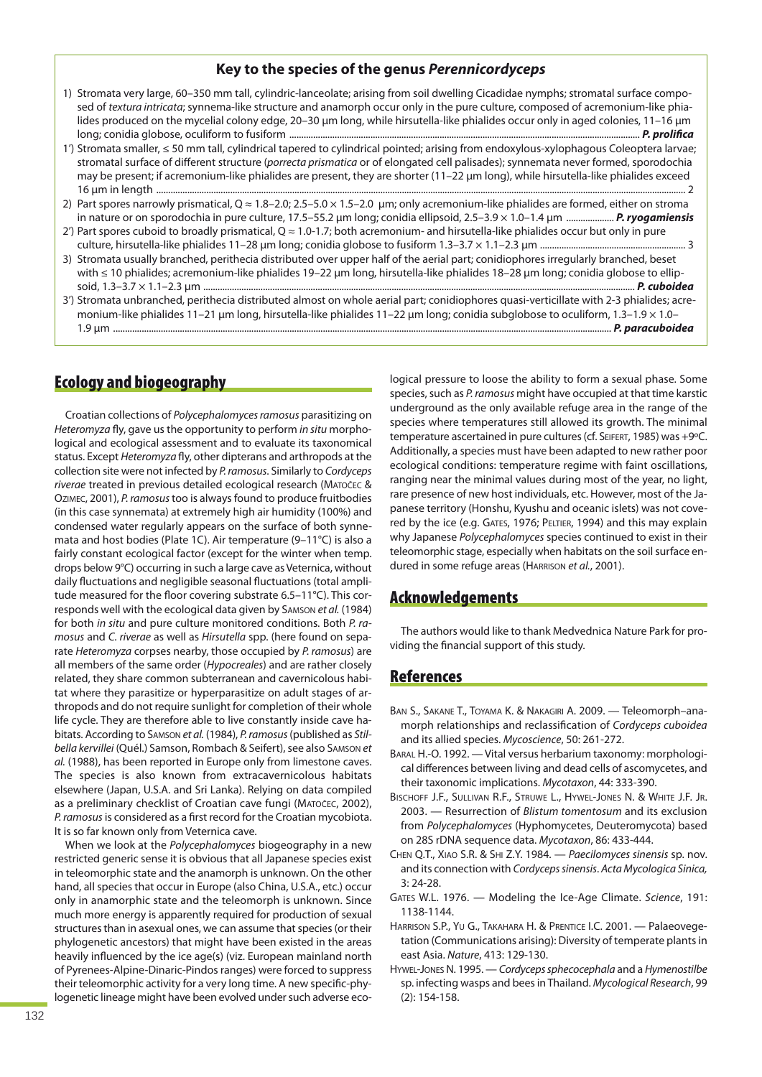## **Key to the species of the genus** *Perennicordyceps*

- 1) Stromata very large, 60–350 mm tall, cylindric-lanceolate; arising from soil dwelling Cicadidae nymphs; stromatal surface composed of textura intricata; synnema-like structure and anamorph occur only in the pure culture, composed of acremonium-like phialides produced on the mycelial colony edge, 20–30 μm long, while hirsutella-like phialides occur only in aged colonies, 11–16 μm long; conidia globose, oculiform to fusiform ................................................................................................................................................... *P. prolifica*
- 1') Stromata smaller, ≤ 50 mm tall, cylindrical tapered to cylindrical pointed; arising from endoxylous-xylophagous Coleoptera larvae; stromatal surface of different structure (porrecta prismatica or of elongated cell palisades); synnemata never formed, sporodochia may be present; if acremonium-like phialides are present, they are shorter (11–22 μm long), while hirsutella-like phialides exceed 16 um in lenath ........
- 2) Part spores narrowly prismatical,  $Q \approx 1.8 2.0$ ; 2.5–5.0  $\times$  1.5–2.0 µm; only acremonium-like phialides are formed, either on stroma in nature or on sporodochia in pure culture, 17.5–55.2 μm long; conidia ellipsoid, 2.5–3.9 × 1.0–1.4 μm .................... *P. ryogamiensis*
- 2') Part spores cuboid to broadly prismatical,  $Q \approx 1.0$ -1.7; both acremonium- and hirsutella-like phialides occur but only in pure culture, hirsutella-like phialides 11–28 μm long; conidia globose to fusiform 1.3–3.7 × 1.1–2.3 μm ............................................................. 3
- 3) Stromata usually branched, perithecia distributed over upper half of the aerial part; conidiophores irregularly branched, beset with ≤ 10 phialides; acremonium-like phialides 19-22 μm long, hirsutella-like phialides 18-28 μm long; conidia globose to ellipsoid, 1.3–3.7 × 1.1–2.3 μm ..................................................................................................................................................................................... *P. cuboidea*
- 3') Stromata unbranched, perithecia distributed almost on whole aerial part; conidiophores quasi-verticillate with 2-3 phialides; acremonium-like phialides 11–21 μm long, hirsutella-like phialides 11–22 μm long; conidia subglobose to oculiform, 1.3–1.9 × 1.0– 1.9 μm ................................................................................................................................................................................................................. *P. paracuboidea*

# **Ecology and biogeography**

Croatian collections of Polycephalomyces ramosus parasitizing on Heteromyza fly, gave us the opportunity to perform in situ morphological and ecological assessment and to evaluate its taxonomical status. Except Heteromyza fly, other dipterans and arthropods at the collection site were not infected by P. ramosus. Similarly to Cordyceps riverae treated in previous detailed ecological research (MATOČEC & OZIMEC, 2001), P. ramosustoo is always found to produce fruitbodies (in this case synnemata) at extremely high air humidity (100%) and condensed water regularly appears on the surface of both synnemata and host bodies (Plate 1C). Air temperature (9–11°C) is also a fairly constant ecological factor (except for the winter when temp. drops below 9°C) occurring in such a large cave as Veternica, without daily fluctuations and negligible seasonal fluctuations (total amplitude measured for the floor covering substrate 6.5–11°C). This corresponds well with the ecological data given by SAMSON et al. (1984) for both in situ and pure culture monitored conditions. Both P. ramosus and C. riverae as well as Hirsutella spp. (here found on separate Heteromyza corpses nearby, those occupied by P. ramosus) are all members of the same order (Hypocreales) and are rather closely related, they share common subterranean and cavernicolous habitat where they parasitize or hyperparasitize on adult stages of arthropods and do not require sunlight for completion of their whole life cycle. They are therefore able to live constantly inside cave habitats. According to SAMSON et al. (1984), P. ramosus (published as Stilbella kervillei (Quél.) Samson, Rombach & Seifert), see also SAMSON et al. (1988), has been reported in Europe only from limestone caves. The species is also known from extracavernicolous habitats elsewhere (Japan, U.S.A. and Sri Lanka). Relying on data compiled as a preliminary checklist of Croatian cave fungi (MATOČEC, 2002), P. ramosusis considered as a first record for the Croatian mycobiota. It is so far known only from Veternica cave.

When we look at the Polycephalomyces biogeography in a new restricted generic sense it is obvious that all Japanese species exist in teleomorphic state and the anamorph is unknown. On the other hand, all species that occur in Europe (also China, U.S.A., etc.) occur only in anamorphic state and the teleomorph is unknown. Since much more energy is apparently required for production of sexual structures than in asexual ones, we can assume that species (or their phylogenetic ancestors) that might have been existed in the areas heavily influenced by the ice age(s) (viz. European mainland north of Pyrenees-Alpine-Dinaric-Pindos ranges) were forced to suppress their teleomorphic activity for a very long time. A new specific-phylogenetic lineage might have been evolved under such adverse ecological pressure to loose the ability to form a sexual phase. Some species, such as P. ramosus might have occupied at that time karstic underground as the only available refuge area in the range of the species where temperatures still allowed its growth. The minimal temperature ascertained in pure cultures (cf. SEIFERT, 1985) was +9°C. Additionally, a species must have been adapted to new rather poor ecological conditions: temperature regime with faint oscillations, ranging near the minimal values during most of the year, no light, rare presence of new host individuals, etc. However, most of the Japanese territory (Honshu, Kyushu and oceanic islets) was not covered by the ice (e.g. GATES, 1976; PELTIER, 1994) and this may explain why Japanese Polycephalomyces species continued to exist in their teleomorphic stage, especially when habitats on the soil surface endured in some refuge areas (HARRISON et al., 2001).

## **Acknowledgements**

The authors would like to thank Medvednica Nature Park for providing the financial support of this study.

## **References**

- BAN S., SAKANE T., TOYAMA K. & NAKAGIRI A. 2009. Teleomorph–anamorph relationships and reclassification of Cordyceps cuboidea and its allied species. Mycoscience, 50: 261-272.
- BARAL H.-O. 1992. Vital versus herbarium taxonomy: morphological differences between living and dead cells of ascomycetes, and their taxonomic implications. Mycotaxon, 44: 333-390.
- BISCHOFF J.F., SULLIVAN R.F., STRUWE L., HYWEL-JONES N. & WHITE J.F. JR. 2003. — Resurrection of Blistum tomentosum and its exclusion from Polycephalomyces (Hyphomycetes, Deuteromycota) based on 28S rDNA sequence data. Mycotaxon, 86: 433-444.
- CHEN Q.T., XIAO S.R. & SHI Z.Y. 1984. Paecilomyces sinensis sp. nov. and its connection with Cordyceps sinensis. Acta Mycologica Sinica, 3: 24-28.
- GATES W.L. 1976. Modeling the Ice-Age Climate. Science, 191: 1138-1144.
- HARRISON S.P., YU G., TAKAHARA H. & PRENTICE I.C. 2001. Palaeovegetation (Communications arising): Diversity of temperate plants in east Asia. Nature, 413: 129-130.
- HYWEL-JONES N. 1995. Cordyceps sphecocephala and a Hymenostilbe sp. infecting wasps and bees in Thailand. Mycological Research, 99 (2): 154-158.